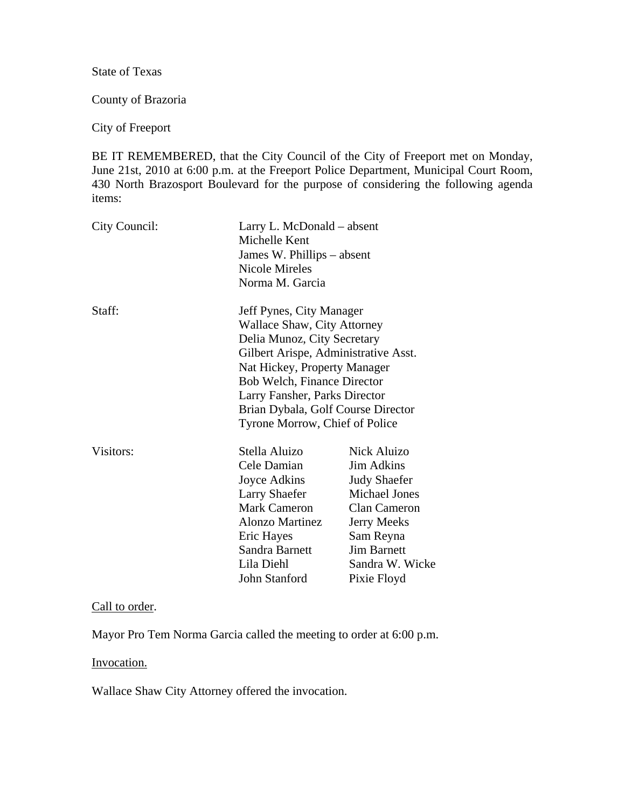State of Texas

County of Brazoria

City of Freeport

BE IT REMEMBERED, that the City Council of the City of Freeport met on Monday, June 21st, 2010 at 6:00 p.m. at the Freeport Police Department, Municipal Court Room, 430 North Brazosport Boulevard for the purpose of considering the following agenda items:

| City Council: | Michelle Kent<br>Nicole Mireles<br>Norma M. Garcia                                     | Larry L. McDonald – absent<br>James W. Phillips – absent |  |
|---------------|----------------------------------------------------------------------------------------|----------------------------------------------------------|--|
| Staff:        | Jeff Pynes, City Manager<br>Wallace Shaw, City Attorney<br>Delia Munoz, City Secretary |                                                          |  |
|               | Gilbert Arispe, Administrative Asst.                                                   |                                                          |  |
|               | Nat Hickey, Property Manager                                                           |                                                          |  |
|               | <b>Bob Welch, Finance Director</b>                                                     |                                                          |  |
|               | Larry Fansher, Parks Director                                                          |                                                          |  |
|               | Brian Dybala, Golf Course Director                                                     |                                                          |  |
|               | Tyrone Morrow, Chief of Police                                                         |                                                          |  |
| Visitors:     | Stella Aluizo                                                                          | Nick Aluizo                                              |  |
|               | Cele Damian                                                                            | <b>Jim Adkins</b>                                        |  |
|               | Joyce Adkins                                                                           | <b>Judy Shaefer</b>                                      |  |
|               | <b>Larry Shaefer</b>                                                                   | <b>Michael Jones</b>                                     |  |
|               | <b>Mark Cameron</b>                                                                    | <b>Clan Cameron</b>                                      |  |
|               | <b>Alonzo Martinez</b>                                                                 | Jerry Meeks                                              |  |
|               | Eric Hayes                                                                             | Sam Reyna                                                |  |
|               | Sandra Barnett                                                                         | <b>Jim Barnett</b>                                       |  |
|               | Lila Diehl                                                                             | Sandra W. Wicke                                          |  |
|               | John Stanford                                                                          | Pixie Floyd                                              |  |

## Call to order.

Mayor Pro Tem Norma Garcia called the meeting to order at 6:00 p.m.

Invocation.

Wallace Shaw City Attorney offered the invocation.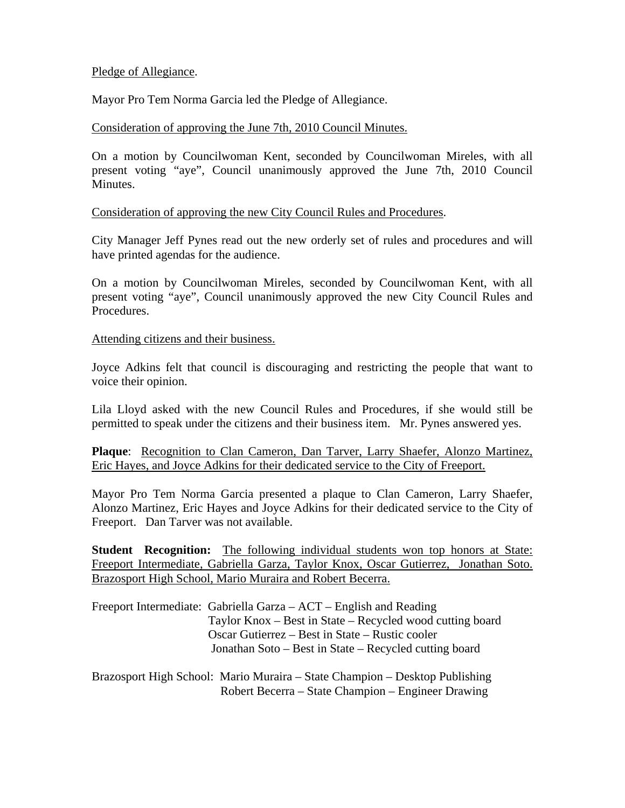### Pledge of Allegiance.

Mayor Pro Tem Norma Garcia led the Pledge of Allegiance.

### Consideration of approving the June 7th, 2010 Council Minutes.

On a motion by Councilwoman Kent, seconded by Councilwoman Mireles, with all present voting "aye", Council unanimously approved the June 7th, 2010 Council Minutes.

Consideration of approving the new City Council Rules and Procedures.

City Manager Jeff Pynes read out the new orderly set of rules and procedures and will have printed agendas for the audience.

On a motion by Councilwoman Mireles, seconded by Councilwoman Kent, with all present voting "aye", Council unanimously approved the new City Council Rules and Procedures.

### Attending citizens and their business.

Joyce Adkins felt that council is discouraging and restricting the people that want to voice their opinion.

Lila Lloyd asked with the new Council Rules and Procedures, if she would still be permitted to speak under the citizens and their business item. Mr. Pynes answered yes.

**Plaque**: Recognition to Clan Cameron, Dan Tarver, Larry Shaefer, Alonzo Martinez, Eric Hayes, and Joyce Adkins for their dedicated service to the City of Freeport.

Mayor Pro Tem Norma Garcia presented a plaque to Clan Cameron, Larry Shaefer, Alonzo Martinez, Eric Hayes and Joyce Adkins for their dedicated service to the City of Freeport. Dan Tarver was not available.

**Student Recognition:** The following individual students won top honors at State: Freeport Intermediate, Gabriella Garza, Taylor Knox, Oscar Gutierrez, Jonathan Soto. Brazosport High School, Mario Muraira and Robert Becerra.

Freeport Intermediate: Gabriella Garza – ACT – English and Reading Taylor Knox – Best in State – Recycled wood cutting board Oscar Gutierrez – Best in State – Rustic cooler Jonathan Soto – Best in State – Recycled cutting board

Brazosport High School: Mario Muraira – State Champion – Desktop Publishing Robert Becerra – State Champion – Engineer Drawing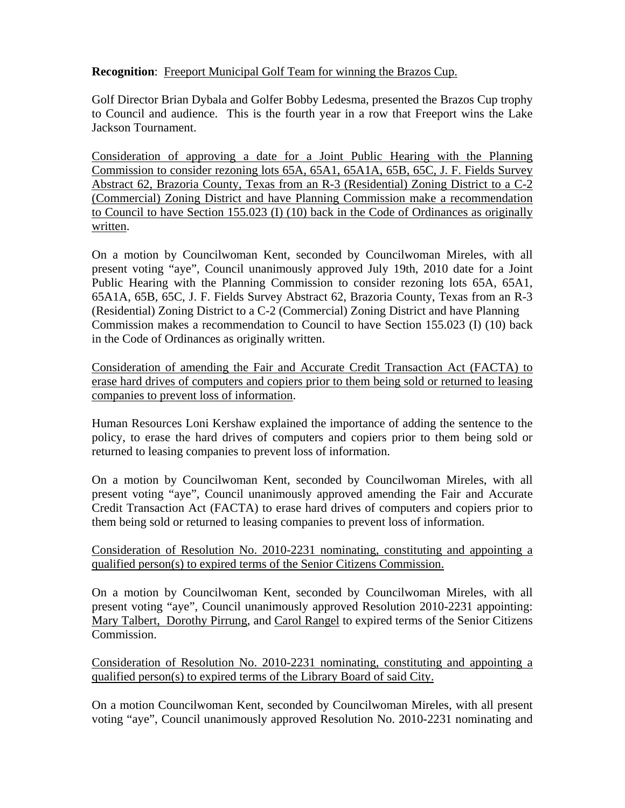# **Recognition**: Freeport Municipal Golf Team for winning the Brazos Cup.

Golf Director Brian Dybala and Golfer Bobby Ledesma, presented the Brazos Cup trophy to Council and audience. This is the fourth year in a row that Freeport wins the Lake Jackson Tournament.

Consideration of approving a date for a Joint Public Hearing with the Planning Commission to consider rezoning lots 65A, 65A1, 65A1A, 65B, 65C, J. F. Fields Survey Abstract 62, Brazoria County, Texas from an R-3 (Residential) Zoning District to a C-2 (Commercial) Zoning District and have Planning Commission make a recommendation to Council to have Section 155.023 (I) (10) back in the Code of Ordinances as originally written.

On a motion by Councilwoman Kent, seconded by Councilwoman Mireles, with all present voting "aye", Council unanimously approved July 19th, 2010 date for a Joint Public Hearing with the Planning Commission to consider rezoning lots 65A, 65A1, 65A1A, 65B, 65C, J. F. Fields Survey Abstract 62, Brazoria County, Texas from an R-3 (Residential) Zoning District to a C-2 (Commercial) Zoning District and have Planning Commission makes a recommendation to Council to have Section 155.023 (I) (10) back in the Code of Ordinances as originally written.

Consideration of amending the Fair and Accurate Credit Transaction Act (FACTA) to erase hard drives of computers and copiers prior to them being sold or returned to leasing companies to prevent loss of information.

Human Resources Loni Kershaw explained the importance of adding the sentence to the policy, to erase the hard drives of computers and copiers prior to them being sold or returned to leasing companies to prevent loss of information.

On a motion by Councilwoman Kent, seconded by Councilwoman Mireles, with all present voting "aye", Council unanimously approved amending the Fair and Accurate Credit Transaction Act (FACTA) to erase hard drives of computers and copiers prior to them being sold or returned to leasing companies to prevent loss of information.

# Consideration of Resolution No. 2010-2231 nominating, constituting and appointing a qualified person(s) to expired terms of the Senior Citizens Commission.

On a motion by Councilwoman Kent, seconded by Councilwoman Mireles, with all present voting "aye", Council unanimously approved Resolution 2010-2231 appointing: Mary Talbert, Dorothy Pirrung, and Carol Rangel to expired terms of the Senior Citizens Commission.

Consideration of Resolution No. 2010-2231 nominating, constituting and appointing a qualified person(s) to expired terms of the Library Board of said City.

On a motion Councilwoman Kent, seconded by Councilwoman Mireles, with all present voting "aye", Council unanimously approved Resolution No. 2010-2231 nominating and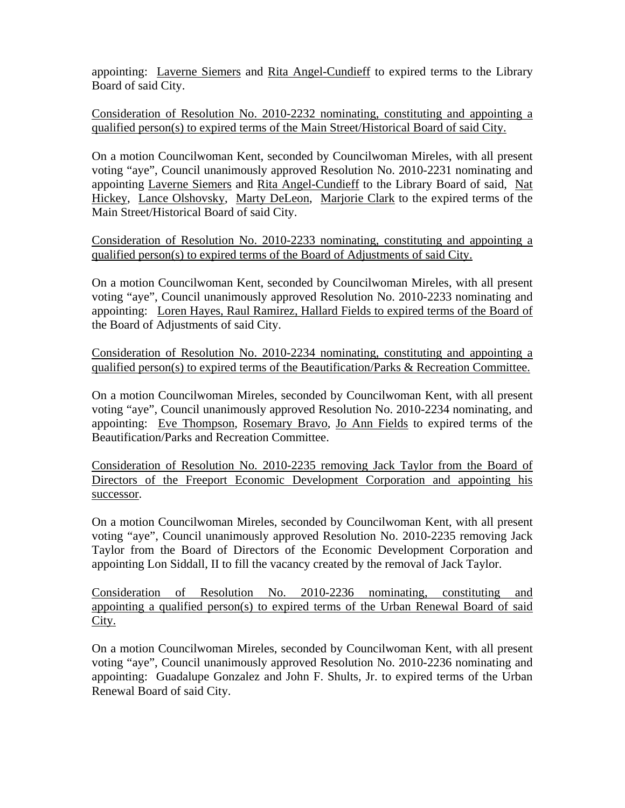appointing: Laverne Siemers and Rita Angel-Cundieff to expired terms to the Library Board of said City.

Consideration of Resolution No. 2010-2232 nominating, constituting and appointing a qualified person(s) to expired terms of the Main Street/Historical Board of said City.

On a motion Councilwoman Kent, seconded by Councilwoman Mireles, with all present voting "aye", Council unanimously approved Resolution No. 2010-2231 nominating and appointing Laverne Siemers and Rita Angel-Cundieff to the Library Board of said, Nat Hickey, Lance Olshovsky, Marty DeLeon, Marjorie Clark to the expired terms of the Main Street/Historical Board of said City.

Consideration of Resolution No. 2010-2233 nominating, constituting and appointing a qualified person(s) to expired terms of the Board of Adjustments of said City.

On a motion Councilwoman Kent, seconded by Councilwoman Mireles, with all present voting "aye", Council unanimously approved Resolution No. 2010-2233 nominating and appointing: Loren Hayes, Raul Ramirez, Hallard Fields to expired terms of the Board of the Board of Adjustments of said City.

Consideration of Resolution No. 2010-2234 nominating, constituting and appointing a qualified person(s) to expired terms of the Beautification/Parks & Recreation Committee.

On a motion Councilwoman Mireles, seconded by Councilwoman Kent, with all present voting "aye", Council unanimously approved Resolution No. 2010-2234 nominating, and appointing: Eve Thompson, Rosemary Bravo, Jo Ann Fields to expired terms of the Beautification/Parks and Recreation Committee.

Consideration of Resolution No. 2010-2235 removing Jack Taylor from the Board of Directors of the Freeport Economic Development Corporation and appointing his successor.

On a motion Councilwoman Mireles, seconded by Councilwoman Kent, with all present voting "aye", Council unanimously approved Resolution No. 2010-2235 removing Jack Taylor from the Board of Directors of the Economic Development Corporation and appointing Lon Siddall, II to fill the vacancy created by the removal of Jack Taylor.

Consideration of Resolution No. 2010-2236 nominating, constituting and appointing a qualified person(s) to expired terms of the Urban Renewal Board of said City.

On a motion Councilwoman Mireles, seconded by Councilwoman Kent, with all present voting "aye", Council unanimously approved Resolution No. 2010-2236 nominating and appointing: Guadalupe Gonzalez and John F. Shults, Jr. to expired terms of the Urban Renewal Board of said City.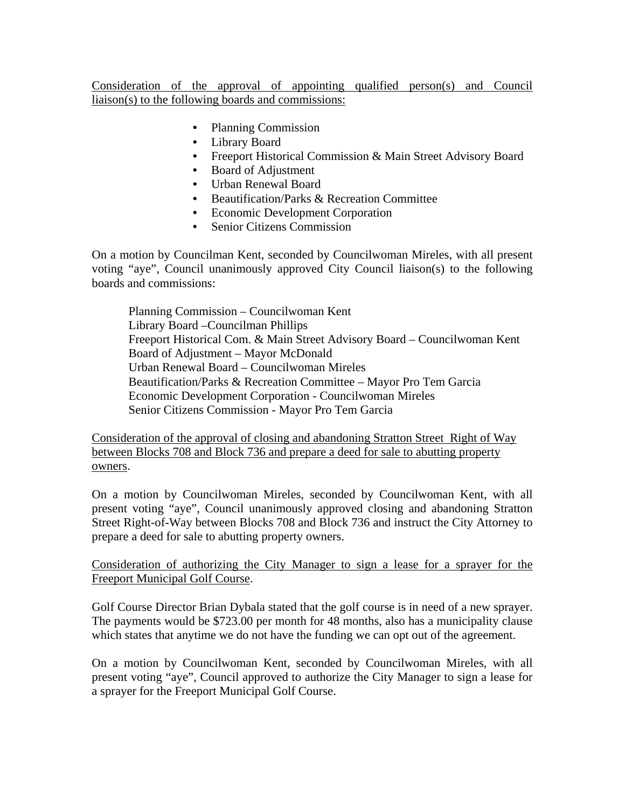Consideration of the approval of appointing qualified person(s) and Council liaison(s) to the following boards and commissions:

- Planning Commission
- Library Board
- Freeport Historical Commission & Main Street Advisory Board
- Board of Adjustment
- Urban Renewal Board
- Beautification/Parks & Recreation Committee
- Economic Development Corporation
- Senior Citizens Commission

On a motion by Councilman Kent, seconded by Councilwoman Mireles, with all present voting "aye", Council unanimously approved City Council liaison(s) to the following boards and commissions:

Planning Commission – Councilwoman Kent Library Board –Councilman Phillips Freeport Historical Com. & Main Street Advisory Board – Councilwoman Kent Board of Adjustment – Mayor McDonald Urban Renewal Board – Councilwoman Mireles Beautification/Parks & Recreation Committee – Mayor Pro Tem Garcia Economic Development Corporation - Councilwoman Mireles Senior Citizens Commission - Mayor Pro Tem Garcia

Consideration of the approval of closing and abandoning Stratton Street Right of Way between Blocks 708 and Block 736 and prepare a deed for sale to abutting property owners.

On a motion by Councilwoman Mireles, seconded by Councilwoman Kent, with all present voting "aye", Council unanimously approved closing and abandoning Stratton Street Right-of-Way between Blocks 708 and Block 736 and instruct the City Attorney to prepare a deed for sale to abutting property owners.

Consideration of authorizing the City Manager to sign a lease for a sprayer for the Freeport Municipal Golf Course.

Golf Course Director Brian Dybala stated that the golf course is in need of a new sprayer. The payments would be \$723.00 per month for 48 months, also has a municipality clause which states that anytime we do not have the funding we can opt out of the agreement.

On a motion by Councilwoman Kent, seconded by Councilwoman Mireles, with all present voting "aye", Council approved to authorize the City Manager to sign a lease for a sprayer for the Freeport Municipal Golf Course.